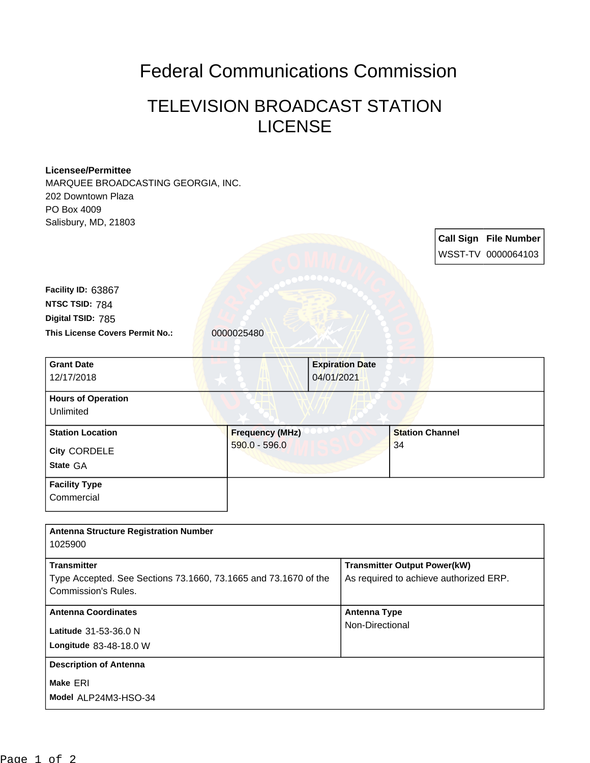## Federal Communications Commission

## TELEVISION BROADCAST STATION **LICENSE**

## **Licensee/Permittee**

MARQUEE BROADCASTING GEORGIA, INC. 202 Downtown Plaza PO Box 4009 Salisbury, MD, 21803

**Call Sign File Number** WSST-TV 0000064103

This License Covers Permit No.: 0000025480 **Digital TSID:** 785 **NTSC TSID:** 784 **Facility ID:** 63867

**Commercial** 

| <b>Grant Date</b><br>12/17/2018                            | <b>Expiration Date</b><br>04/01/2021    |                              |
|------------------------------------------------------------|-----------------------------------------|------------------------------|
| <b>Hours of Operation</b><br>Unlimited                     |                                         |                              |
| <b>Station Location</b><br><b>City CORDELE</b><br>State GA | <b>Frequency (MHz)</b><br>590.0 - 596.0 | <b>Station Channel</b><br>34 |
| <b>Facility Type</b>                                       |                                         |                              |

| <b>Antenna Structure Registration Number</b>                                          |                                                                               |
|---------------------------------------------------------------------------------------|-------------------------------------------------------------------------------|
| 1025900                                                                               |                                                                               |
| <b>Transmitter</b><br>Type Accepted. See Sections 73.1660, 73.1665 and 73.1670 of the | <b>Transmitter Output Power(kW)</b><br>As required to achieve authorized ERP. |
| Commission's Rules.                                                                   |                                                                               |
| <b>Antenna Coordinates</b>                                                            | <b>Antenna Type</b>                                                           |
| Latitude 31-53-36.0 N                                                                 | Non-Directional                                                               |
| Longitude 83-48-18.0 W                                                                |                                                                               |
| <b>Description of Antenna</b>                                                         |                                                                               |
| Make ERI                                                                              |                                                                               |
| Model ALP24M3-HSO-34                                                                  |                                                                               |